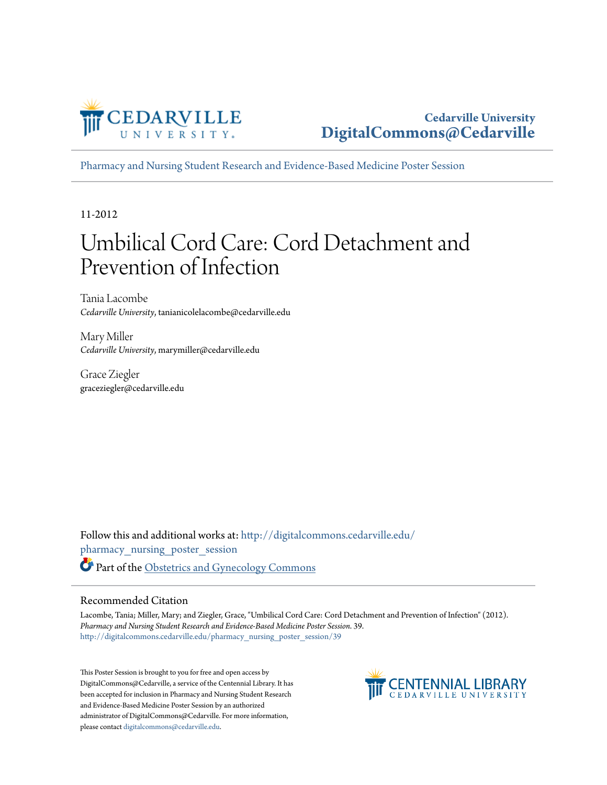

#### **Cedarville University [DigitalCommons@Cedarville](http://digitalcommons.cedarville.edu?utm_source=digitalcommons.cedarville.edu%2Fpharmacy_nursing_poster_session%2F39&utm_medium=PDF&utm_campaign=PDFCoverPages)**

[Pharmacy and Nursing Student Research and Evidence-Based Medicine Poster Session](http://digitalcommons.cedarville.edu/pharmacy_nursing_poster_session?utm_source=digitalcommons.cedarville.edu%2Fpharmacy_nursing_poster_session%2F39&utm_medium=PDF&utm_campaign=PDFCoverPages)

11-2012

#### Umbilical Cord Care: Cord Detachment and Prevention of Infection

Tania Lacombe *Cedarville University*, tanianicolelacombe@cedarville.edu

Mary Miller *Cedarville University*, marymiller@cedarville.edu

Grace Ziegler graceziegler@cedarville.edu

Follow this and additional works at: [http://digitalcommons.cedarville.edu/](http://digitalcommons.cedarville.edu/pharmacy_nursing_poster_session?utm_source=digitalcommons.cedarville.edu%2Fpharmacy_nursing_poster_session%2F39&utm_medium=PDF&utm_campaign=PDFCoverPages) [pharmacy\\_nursing\\_poster\\_session](http://digitalcommons.cedarville.edu/pharmacy_nursing_poster_session?utm_source=digitalcommons.cedarville.edu%2Fpharmacy_nursing_poster_session%2F39&utm_medium=PDF&utm_campaign=PDFCoverPages) Part of the [Obstetrics and Gynecology Commons](http://network.bepress.com/hgg/discipline/693?utm_source=digitalcommons.cedarville.edu%2Fpharmacy_nursing_poster_session%2F39&utm_medium=PDF&utm_campaign=PDFCoverPages)

#### Recommended Citation

Lacombe, Tania; Miller, Mary; and Ziegler, Grace, "Umbilical Cord Care: Cord Detachment and Prevention of Infection" (2012). *Pharmacy and Nursing Student Research and Evidence-Based Medicine Poster Session*. 39. [http://digitalcommons.cedarville.edu/pharmacy\\_nursing\\_poster\\_session/39](http://digitalcommons.cedarville.edu/pharmacy_nursing_poster_session/39?utm_source=digitalcommons.cedarville.edu%2Fpharmacy_nursing_poster_session%2F39&utm_medium=PDF&utm_campaign=PDFCoverPages)

This Poster Session is brought to you for free and open access by DigitalCommons@Cedarville, a service of the Centennial Library. It has been accepted for inclusion in Pharmacy and Nursing Student Research and Evidence-Based Medicine Poster Session by an authorized administrator of DigitalCommons@Cedarville. For more information, please contact [digitalcommons@cedarville.edu.](mailto:digitalcommons@cedarville.edu)